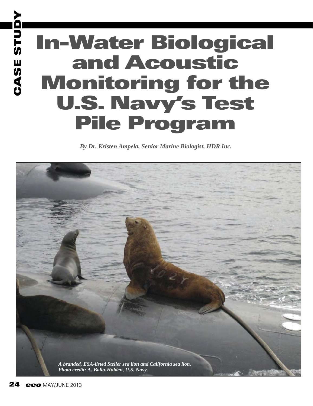# **CASE STUDY In-Water Biological and Acoustic Monitoring for the U.S. Navy's Test Pile Program**

*By Dr. Kristen Ampela, Senior Marine Biologist, HDR Inc.* 



**CASE STUDY**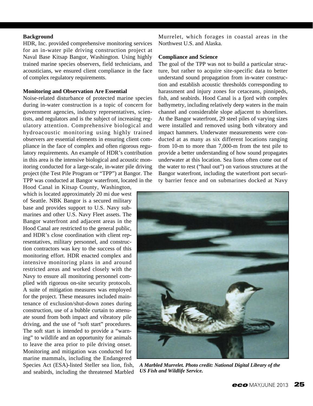## **Background**

HDR, Inc. provided comprehensive monitoring services for an in-water pile driving construction project at Naval Base Kitsap Bangor, Washington. Using highly trained marine species observers, field technicians, and acousticians, we ensured client compliance in the face of complex regulatory requirements.

## **Monitoring and Observation Are Essential**

Noise-related disturbance of protected marine species during in-water construction is a topic of concern for government agencies, industry representatives, scientists, and regulators and is the subject of increasing regulatory attention. Comprehensive biological and hydroacoustic monitoring using highly trained observers are essential elements in ensuring client compliance in the face of complex and often rigorous regulatory requirements. An example of HDR's contribution in this area is the intensive biological and acoustic monitoring conducted for a large-scale, in-water pile driving project (the Test Pile Program or "TPP") at Bangor. The TPP was conducted at Bangor waterfront, located in the

Hood Canal in Kitsap County, Washington, which is located approximately 20 mi due west of Seattle. NBK Bangor is a secured military base and provides support to U.S. Navy submarines and other U.S. Navy Fleet assets. The Bangor waterfront and adjacent areas in the Hood Canal are restricted to the general public, and HDR's close coordination with client representatives, military personnel, and construction contractors was key to the success of this monitoring effort. HDR enacted complex and intensive monitoring plans in and around restricted areas and worked closely with the Navy to ensure all monitoring personnel complied with rigorous on-site security protocols. A suite of mitigation measures was employed for the project. These measures included maintenance of exclusion/shut-down zones during construction, use of a bubble curtain to attenuate sound from both impact and vibratory pile driving, and the use of "soft start" procedures. The soft start is intended to provide a "warning" to wildlife and an opportunity for animals to leave the area prior to pile driving onset. Monitoring and mitigation was conducted for marine mammals, including the Endangered Species Act (ESA)-listed Steller sea lion, fish, and seabirds, including the threatened Marbled Murrelet, which forages in coastal areas in the Northwest U.S. and Alaska.

## **Compliance and Science**

The goal of the TPP was not to build a particular structure, but rather to acquire site-specific data to better understand sound propagation from in-water construction and establish acoustic thresholds corresponding to harassment and injury zones for cetaceans, pinnipeds, fish, and seabirds. Hood Canal is a fjord with complex bathymetry, including relatively deep waters in the main channel and considerable slope adjacent to shorelines. At the Bangor waterfront, 29 steel piles of varying sizes were installed and removed using both vibratory and impact hammers. Underwater measurements were conducted at as many as six different locations ranging from 10-m to more than 7,000-m from the test pile to provide a better understanding of how sound propagates underwater at this location. Sea lions often come out of the water to rest ("haul out") on various structures at the Bangor waterfront, including the waterfront port security barrier fence and on submarines docked at Navy



*A Marbled Murrelet. Photo credit: National Digital Library of the US Fish and Wildlife Service.*